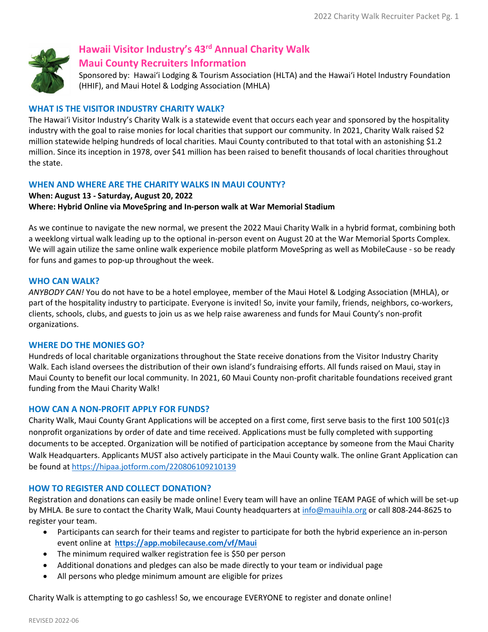

# **Hawaii Visitor Industry's 43rd Annual Charity Walk**

# **Maui County Recruiters Information**

Sponsored by: Hawaiʻi Lodging & Tourism Association (HLTA) and the Hawaiʻi Hotel Industry Foundation (HHIF), and Maui Hotel & Lodging Association (MHLA)

# **WHAT IS THE VISITOR INDUSTRY CHARITY WALK?**

The Hawaiʻi Visitor Industry's Charity Walk is a statewide event that occurs each year and sponsored by the hospitality industry with the goal to raise monies for local charities that support our community. In 2021, Charity Walk raised \$2 million statewide helping hundreds of local charities. Maui County contributed to that total with an astonishing \$1.2 million. Since its inception in 1978, over \$41 million has been raised to benefit thousands of local charities throughout the state.

# **WHEN AND WHERE ARE THE CHARITY WALKS IN MAUI COUNTY?**

# **When: August 13 - Saturday, August 20, 2022 Where: Hybrid Online via MoveSpring and In-person walk at War Memorial Stadium**

As we continue to navigate the new normal, we present the 2022 Maui Charity Walk in a hybrid format, combining both a weeklong virtual walk leading up to the optional in-person event on August 20 at the War Memorial Sports Complex. We will again utilize the same online walk experience mobile platform MoveSpring as well as MobileCause - so be ready for funs and games to pop-up throughout the week.

# **WHO CAN WALK?**

*ANYBODY CAN!* You do not have to be a hotel employee, member of the Maui Hotel & Lodging Association (MHLA), or part of the hospitality industry to participate. Everyone is invited! So, invite your family, friends, neighbors, co-workers, clients, schools, clubs, and guests to join us as we help raise awareness and funds for Maui County's non-profit organizations.

# **WHERE DO THE MONIES GO?**

Hundreds of local charitable organizations throughout the State receive donations from the Visitor Industry Charity Walk. Each island oversees the distribution of their own island's fundraising efforts. All funds raised on Maui, stay in Maui County to benefit our local community. In 2021, 60 Maui County non-profit charitable foundations received grant funding from the Maui Charity Walk!

## **HOW CAN A NON-PROFIT APPLY FOR FUNDS?**

Charity Walk, Maui County Grant Applications will be accepted on a first come, first serve basis to the first 100 501(c)3 nonprofit organizations by order of date and time received. Applications must be fully completed with supporting documents to be accepted. Organization will be notified of participation acceptance by someone from the Maui Charity Walk Headquarters. Applicants MUST also actively participate in the Maui County walk. The online Grant Application can be found at <https://hipaa.jotform.com/220806109210139>

# **HOW TO REGISTER AND COLLECT DONATION?**

Registration and donations can easily be made online! Every team will have an online TEAM PAGE of which will be set-up by MHLA. Be sure to contact the Charity Walk, Maui County headquarters at [info@mauihla.org](mailto:info@mauihla.org) or call 808-244-8625 to register your team.

- Participants can search for their teams and register to participate for both the hybrid experience an in-person event online at **<https://app.mobilecause.com/vf/Maui>**
- The minimum required walker registration fee is \$50 per person
- Additional donations and pledges can also be made directly to your team or individual page
- All persons who pledge minimum amount are eligible for prizes

Charity Walk is attempting to go cashless! So, we encourage EVERYONE to register and donate online!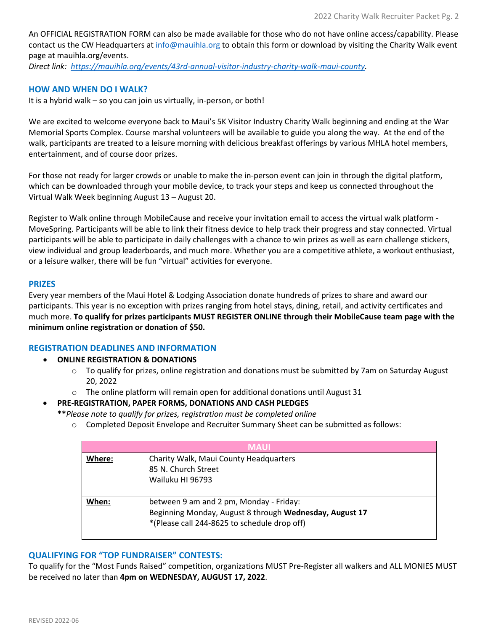An OFFICIAL REGISTRATION FORM can also be made available for those who do not have online access/capability. Please contact us the CW Headquarters at [info@mauihla.org](mailto:info@mauihla.org) to obtain this form or download by visiting the Charity Walk event page at mauihla.org/events.

*Direct link: [https://mauihla.org/events/43rd-annual-visitor-industry-charity-walk-maui-county.](https://mauihla.org/events/43rd-annual-visitor-industry-charity-walk-maui-county)* 

## **HOW AND WHEN DO I WALK?**

It is a hybrid walk – so you can join us virtually, in-person, or both!

We are excited to welcome everyone back to Maui's 5K Visitor Industry Charity Walk beginning and ending at the War Memorial Sports Complex. Course marshal volunteers will be available to guide you along the way. At the end of the walk, participants are treated to a leisure morning with delicious breakfast offerings by various MHLA hotel members, entertainment, and of course door prizes.

For those not ready for larger crowds or unable to make the in-person event can join in through the digital platform, which can be downloaded through your mobile device, to track your steps and keep us connected throughout the Virtual Walk Week beginning August 13 – August 20.

Register to Walk online through MobileCause and receive your invitation email to access the virtual walk platform - MoveSpring. Participants will be able to link their fitness device to help track their progress and stay connected. Virtual participants will be able to participate in daily challenges with a chance to win prizes as well as earn challenge stickers, view individual and group leaderboards, and much more. Whether you are a competitive athlete, a workout enthusiast, or a leisure walker, there will be fun "virtual" activities for everyone.

#### **PRIZES**

Every year members of the Maui Hotel & Lodging Association donate hundreds of prizes to share and award our participants. This year is no exception with prizes ranging from hotel stays, dining, retail, and activity certificates and much more. **To qualify for prizes participants MUST REGISTER ONLINE through their MobileCause team page with the minimum online registration or donation of \$50.** 

## **REGISTRATION DEADLINES AND INFORMATION**

## • **ONLINE REGISTRATION & DONATIONS**

- $\circ$  To qualify for prizes, online registration and donations must be submitted by 7am on Saturday August 20, 2022
- o The online platform will remain open for additional donations until August 31

## • **PRE-REGISTRATION, PAPER FORMS, DONATIONS AND CASH PLEDGES**

**\*\****Please note to qualify for prizes, registration must be completed online*

o Completed Deposit Envelope and Recruiter Summary Sheet can be submitted as follows:

| <b>MAUL</b> |                                                                                                                                                    |
|-------------|----------------------------------------------------------------------------------------------------------------------------------------------------|
| Where:      | Charity Walk, Maui County Headquarters<br>85 N. Church Street<br>Wailuku HI 96793                                                                  |
| When:       | between 9 am and 2 pm, Monday - Friday:<br>Beginning Monday, August 8 through Wednesday, August 17<br>*(Please call 244-8625 to schedule drop off) |

#### **QUALIFYING FOR "TOP FUNDRAISER" CONTESTS:**

To qualify for the "Most Funds Raised" competition, organizations MUST Pre-Register all walkers and ALL MONIES MUST be received no later than **4pm on WEDNESDAY, AUGUST 17, 2022**.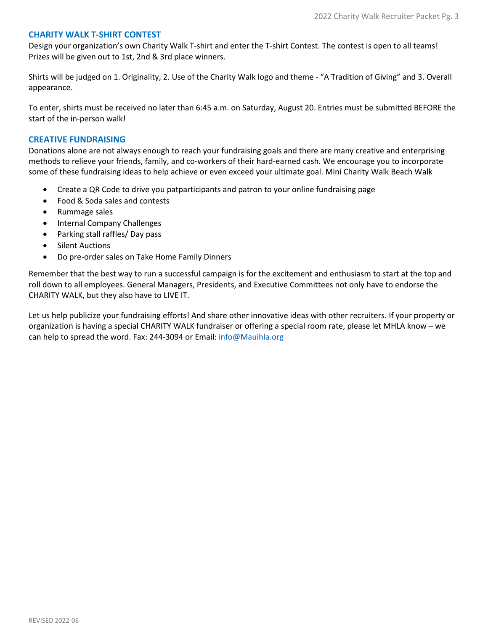### **CHARITY WALK T-SHIRT CONTEST**

Design your organization's own Charity Walk T-shirt and enter the T-shirt Contest. The contest is open to all teams! Prizes will be given out to 1st, 2nd & 3rd place winners.

Shirts will be judged on 1. Originality, 2. Use of the Charity Walk logo and theme - "A Tradition of Giving" and 3. Overall appearance.

To enter, shirts must be received no later than 6:45 a.m. on Saturday, August 20. Entries must be submitted BEFORE the start of the in-person walk!

#### **CREATIVE FUNDRAISING**

Donations alone are not always enough to reach your fundraising goals and there are many creative and enterprising methods to relieve your friends, family, and co-workers of their hard-earned cash. We encourage you to incorporate some of these fundraising ideas to help achieve or even exceed your ultimate goal. Mini Charity Walk Beach Walk

- Create a QR Code to drive you patparticipants and patron to your online fundraising page
- Food & Soda sales and contests
- Rummage sales
- Internal Company Challenges
- Parking stall raffles/ Day pass
- Silent Auctions
- Do pre-order sales on Take Home Family Dinners

Remember that the best way to run a successful campaign is for the excitement and enthusiasm to start at the top and roll down to all employees. General Managers, Presidents, and Executive Committees not only have to endorse the CHARITY WALK, but they also have to LIVE IT.

Let us help publicize your fundraising efforts! And share other innovative ideas with other recruiters. If your property or organization is having a special CHARITY WALK fundraiser or offering a special room rate, please let MHLA know – we can help to spread the word. Fax: 244-3094 or Email[: info@Mauihla.org](mailto:info@Mauihla.org)